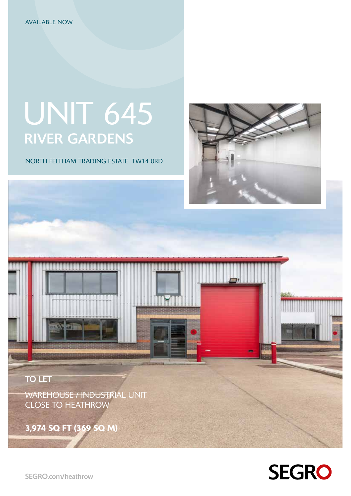# UNIT 645 RIVER GARDENS

NORTH FELTHAM TRADING ESTATE TW14 0RD



TO LET

WAREHOUSE / INDUSTRIAL UNIT CLOSE TO HEATHROW

3,974 SQ FT (369 SQ M)



SEGRO.com/heathrow